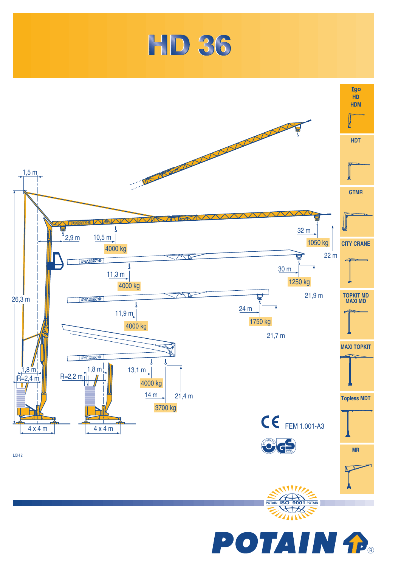

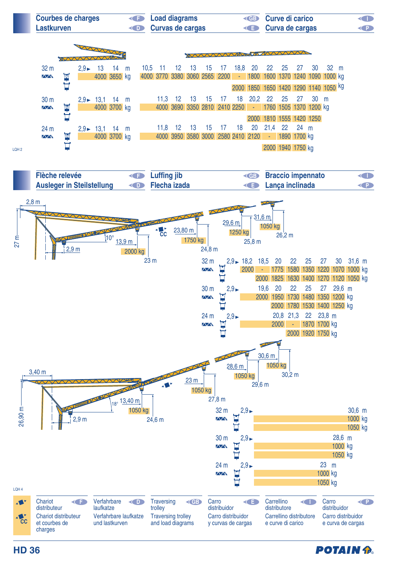

**POTAIN A** 

**HD 36**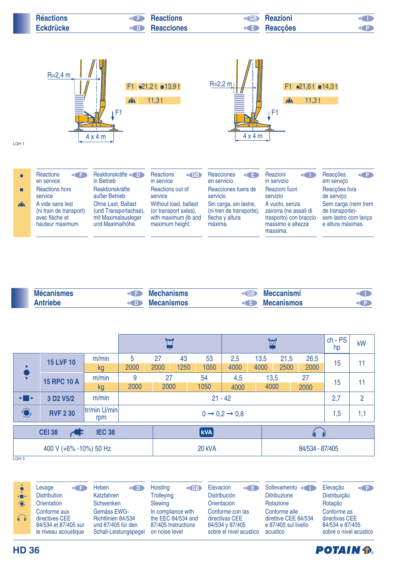| <b>Réactions</b> | <b>Reactions</b><br><b>CED</b>      | <b>Keazioni</b>   |  |
|------------------|-------------------------------------|-------------------|--|
| <b>Eckdrücke</b> | <b>Reacciones</b><br>$\mathsf{CDD}$ | <b>E</b> Reacções |  |



| <b>Mécanismes</b> | <b>Mechanisms</b> | <b>CGB</b> | <b>Meccanismi</b> |  |
|-------------------|-------------------|------------|-------------------|--|
| Antriebe<br>TD 1  | <b>Mecanismos</b> |            | <b>Mecanismos</b> |  |

|                                                        |                                                |                     |                                     |      |                         | W    |      |      |                 | $ch - PS$<br>hp | kW |    |
|--------------------------------------------------------|------------------------------------------------|---------------------|-------------------------------------|------|-------------------------|------|------|------|-----------------|-----------------|----|----|
|                                                        | <b>15 LVF 10</b>                               | m/min               | 5                                   | 27   | 43                      | 53   | 2,5  | 13,5 | 21,5            | 26,5            | 15 | 11 |
|                                                        |                                                | kg                  | 2000                                | 2000 | 1250                    | 1050 | 4000 | 4000 | 2500            | 2000            |    |    |
|                                                        | <b>15 RPC 10 A</b>                             | m/min               | 9                                   | 27   |                         | 54   | 4,5  | 13,5 |                 | 27              | 15 | 11 |
|                                                        |                                                | kg                  | 2000                                | 2000 |                         | 1050 | 4000 | 4000 |                 | 2000            |    |    |
| ◂▉▸                                                    | 3 D <sub>2</sub> V <sub>5</sub> / <sub>2</sub> | m/min               | $21 - 42$                           |      |                         |      |      |      | 2,7             | $\overline{2}$  |    |    |
| $\bigodot$                                             | <b>RVF 2 30</b>                                | tr/min U/min<br>rpm | $0 \rightarrow 0.2 \rightarrow 0.8$ |      |                         |      |      |      | 1,5             | 1,1             |    |    |
| <b>CEI 38</b><br><b>IEC 38</b><br>$\blacktriangleleft$ |                                                |                     |                                     |      | $\lfloor$ kVA $\rfloor$ |      |      |      |                 |                 |    |    |
| 400 V (+6% -10%) 50 Hz                                 |                                                |                     |                                     |      | 20 kVA                  |      |      |      | 84/534 - 87/405 |                 |    |    |
| LOH <sub>3</sub>                                       |                                                |                     |                                     |      |                         |      |      |      |                 |                 |    |    |